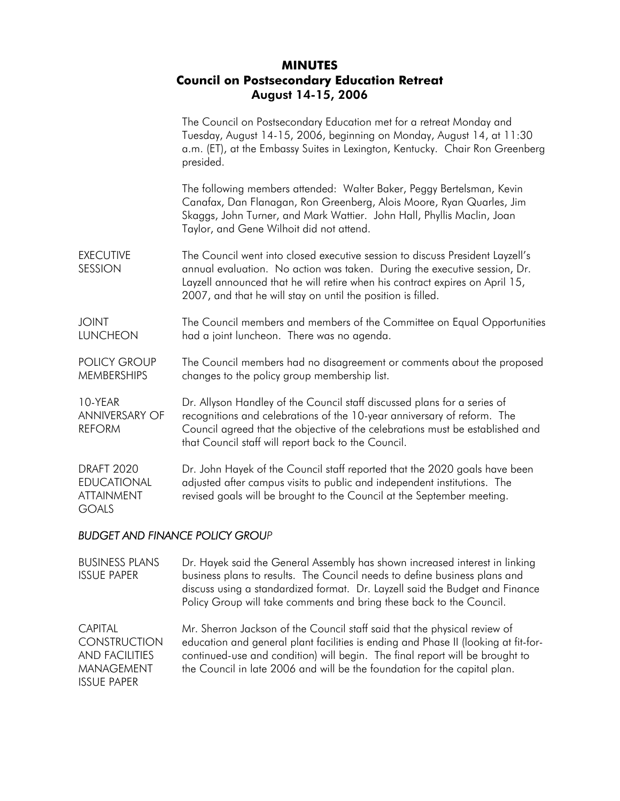## **MINUTES Council on Postsecondary Education Retreat**  August 14-15, 2006

|                                                                              | The Council on Postsecondary Education met for a retreat Monday and<br>Tuesday, August 14-15, 2006, beginning on Monday, August 14, at 11:30<br>a.m. (ET), at the Embassy Suites in Lexington, Kentucky. Chair Ron Greenberg<br>presided.                                                                        |  |
|------------------------------------------------------------------------------|------------------------------------------------------------------------------------------------------------------------------------------------------------------------------------------------------------------------------------------------------------------------------------------------------------------|--|
|                                                                              | The following members attended: Walter Baker, Peggy Bertelsman, Kevin<br>Canafax, Dan Flanagan, Ron Greenberg, Alois Moore, Ryan Quarles, Jim<br>Skaggs, John Turner, and Mark Wattier. John Hall, Phyllis Maclin, Joan<br>Taylor, and Gene Wilhoit did not attend.                                              |  |
| <b>EXECUTIVE</b><br><b>SESSION</b>                                           | The Council went into closed executive session to discuss President Layzell's<br>annual evaluation. No action was taken. During the executive session, Dr.<br>Layzell announced that he will retire when his contract expires on April 15,<br>2007, and that he will stay on until the position is filled.       |  |
| <b>TVIOL</b><br><b>LUNCHEON</b>                                              | The Council members and members of the Committee on Equal Opportunities<br>had a joint luncheon. There was no agenda.                                                                                                                                                                                            |  |
| <b>POLICY GROUP</b><br><b>MEMBERSHIPS</b>                                    | The Council members had no disagreement or comments about the proposed<br>changes to the policy group membership list.                                                                                                                                                                                           |  |
| 10-YEAR<br><b>ANNIVERSARY OF</b><br><b>REFORM</b>                            | Dr. Allyson Handley of the Council staff discussed plans for a series of<br>recognitions and celebrations of the 10-year anniversary of reform. The<br>Council agreed that the objective of the celebrations must be established and<br>that Council staff will report back to the Council.                      |  |
| <b>DRAFT 2020</b><br><b>EDUCATIONAL</b><br><b>ATTAINMENT</b><br><b>GOALS</b> | Dr. John Hayek of the Council staff reported that the 2020 goals have been<br>adjusted after campus visits to public and independent institutions. The<br>revised goals will be brought to the Council at the September meeting.                                                                                 |  |
| <b>BUDGET AND FINANCE POLICY GROUP</b>                                       |                                                                                                                                                                                                                                                                                                                  |  |
| <b>BUSINESS PLANS</b><br><b>ISSUE PAPER</b>                                  | Dr. Hayek said the General Assembly has shown increased interest in linking<br>business plans to results. The Council needs to define business plans and<br>discuss using a standardized format. Dr. Layzell said the Budget and Finance<br>Policy Group will take comments and bring these back to the Council. |  |
|                                                                              |                                                                                                                                                                                                                                                                                                                  |  |

CAPITAL CONSTRUCTION AND FACILITIES MANAGEMENT ISSUE PAPER Mr. Sherron Jackson of the Council staff said that the physical review of education and general plant facilities is ending and Phase II (looking at fit-forcontinued-use and condition) will begin. The final report will be brought to the Council in late 2006 and will be the foundation for the capital plan.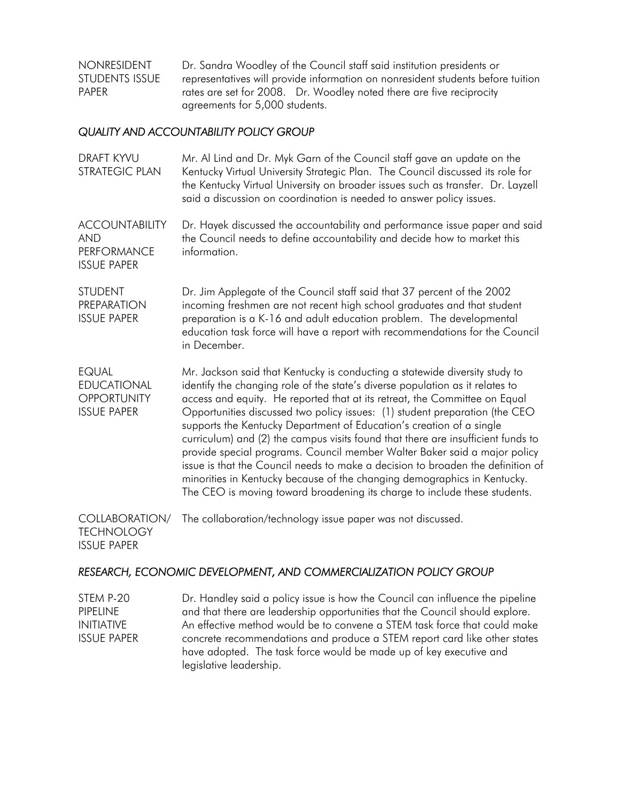NONRESIDENT STUDENTS ISSUE PAPER Dr. Sandra Woodley of the Council staff said institution presidents or representatives will provide information on nonresident students before tuition rates are set for 2008. Dr. Woodley noted there are five reciprocity agreements for 5,000 students.

## *QUALITY AND ACCOUNTABILITY POLICY GROUP*

| <b>DRAFT KYVU</b><br><b>STRATEGIC PLAN</b>                                      | Mr. Al Lind and Dr. Myk Garn of the Council staff gave an update on the<br>Kentucky Virtual University Strategic Plan. The Council discussed its role for<br>the Kentucky Virtual University on broader issues such as transfer. Dr. Layzell<br>said a discussion on coordination is needed to answer policy issues.                                                                                                                                                                                                                                                                                                                                                                                                                                                                                           |  |
|---------------------------------------------------------------------------------|----------------------------------------------------------------------------------------------------------------------------------------------------------------------------------------------------------------------------------------------------------------------------------------------------------------------------------------------------------------------------------------------------------------------------------------------------------------------------------------------------------------------------------------------------------------------------------------------------------------------------------------------------------------------------------------------------------------------------------------------------------------------------------------------------------------|--|
| <b>ACCOUNTABILITY</b><br><b>AND</b><br><b>PERFORMANCE</b><br><b>ISSUE PAPER</b> | Dr. Hayek discussed the accountability and performance issue paper and said<br>the Council needs to define accountability and decide how to market this<br>information.                                                                                                                                                                                                                                                                                                                                                                                                                                                                                                                                                                                                                                        |  |
| <b>STUDENT</b><br><b>PREPARATION</b><br><b>ISSUE PAPER</b>                      | Dr. Jim Applegate of the Council staff said that 37 percent of the 2002<br>incoming freshmen are not recent high school graduates and that student<br>preparation is a K-16 and adult education problem. The developmental<br>education task force will have a report with recommendations for the Council<br>in December.                                                                                                                                                                                                                                                                                                                                                                                                                                                                                     |  |
| <b>EQUAL</b><br><b>EDUCATIONAL</b><br><b>OPPORTUNITY</b><br><b>ISSUE PAPER</b>  | Mr. Jackson said that Kentucky is conducting a statewide diversity study to<br>identify the changing role of the state's diverse population as it relates to<br>access and equity. He reported that at its retreat, the Committee on Equal<br>Opportunities discussed two policy issues: (1) student preparation (the CEO<br>supports the Kentucky Department of Education's creation of a single<br>curriculum) and (2) the campus visits found that there are insufficient funds to<br>provide special programs. Council member Walter Baker said a major policy<br>issue is that the Council needs to make a decision to broaden the definition of<br>minorities in Kentucky because of the changing demographics in Kentucky.<br>The CEO is moving toward broadening its charge to include these students. |  |
| <b>COLLABORATION/</b><br><b>TECHNOLOGY</b><br><b>ISSUE PAPER</b>                | The collaboration/technology issue paper was not discussed.                                                                                                                                                                                                                                                                                                                                                                                                                                                                                                                                                                                                                                                                                                                                                    |  |

## *RESEARCH, ECONOMIC DEVELOPMENT, AND COMMERCIALIZATION POLICY GROUP*

STEM P-20 PIPELINE INITIATIVE ISSUE PAPER Dr. Handley said a policy issue is how the Council can influence the pipeline and that there are leadership opportunities that the Council should explore. An effective method would be to convene a STEM task force that could make concrete recommendations and produce a STEM report card like other states have adopted. The task force would be made up of key executive and legislative leadership.